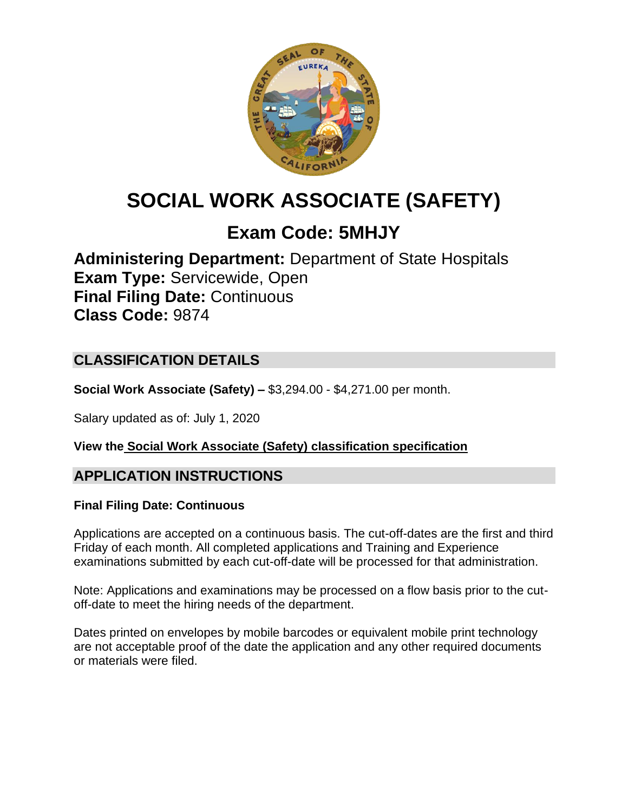

# **SOCIAL WORK ASSOCIATE (SAFETY)**

## **Exam Code: 5MHJY**

**Administering Department:** Department of State Hospitals **Exam Type:** Servicewide, Open **Final Filing Date:** Continuous **Class Code:** 9874

### **CLASSIFICATION DETAILS**

**Social Work Associate (Safety) –** \$3,294.00 - \$4,271.00 per month.

Salary updated as of: July 1, 2020

**View the [Social Work Associate \(Safety\)](https://www.calhr.ca.gov/state-hr-professionals/Pages/9874.aspx) classification specification**

### **APPLICATION INSTRUCTIONS**

#### **Final Filing Date: Continuous**

Applications are accepted on a continuous basis. The cut-off-dates are the first and third Friday of each month. All completed applications and Training and Experience examinations submitted by each cut-off-date will be processed for that administration.

Note: Applications and examinations may be processed on a flow basis prior to the cutoff-date to meet the hiring needs of the department.

Dates printed on envelopes by mobile barcodes or equivalent mobile print technology are not acceptable proof of the date the application and any other required documents or materials were filed.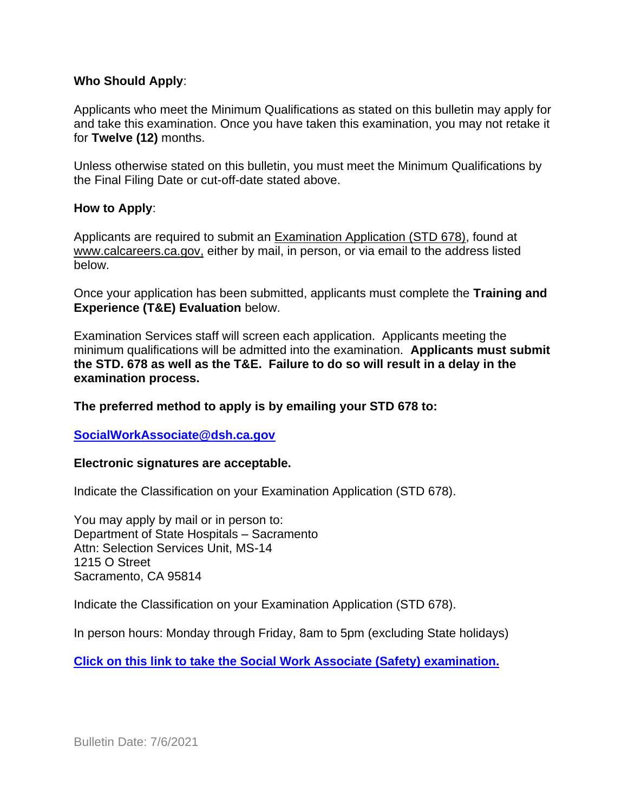#### **Who Should Apply**:

Applicants who meet the Minimum Qualifications as stated on this bulletin may apply for and take this examination. Once you have taken this examination, you may not retake it for **Twelve (12)** months.

Unless otherwise stated on this bulletin, you must meet the Minimum Qualifications by the Final Filing Date or cut-off-date stated above.

#### **How to Apply**:

Applicants are required to submit an [Examination Application \(STD 678\),](https://jobs.ca.gov/pdf/std678.pdf) found at [www.calcareers.ca.gov,](http://www.calcareers.ca.gov/) either by mail, in person, or via email to the address listed below.

Once your application has been submitted, applicants must complete the **Training and Experience (T&E) Evaluation** below.

Examination Services staff will screen each application. Applicants meeting the minimum qualifications will be admitted into the examination. **Applicants must submit the STD. 678 as well as the T&E. Failure to do so will result in a delay in the examination process.**

#### **The preferred method to apply is by emailing your STD 678 to:**

#### **[SocialWorkAssociate@dsh.ca.gov](mailto:SocialWorkAssociate@dsh.ca.gov)**

#### **Electronic signatures are acceptable.**

Indicate the Classification on your Examination Application (STD 678).

You may apply by mail or in person to: Department of State Hospitals – Sacramento Attn: Selection Services Unit, MS-14 1215 O Street Sacramento, CA 95814

Indicate the Classification on your Examination Application (STD 678).

In person hours: Monday through Friday, 8am to 5pm (excluding State holidays)

**[Click on this link to take the Social Work Associate \(Safety\)](https://www.surveymonkey.com/r/8JJH9LX) examination.**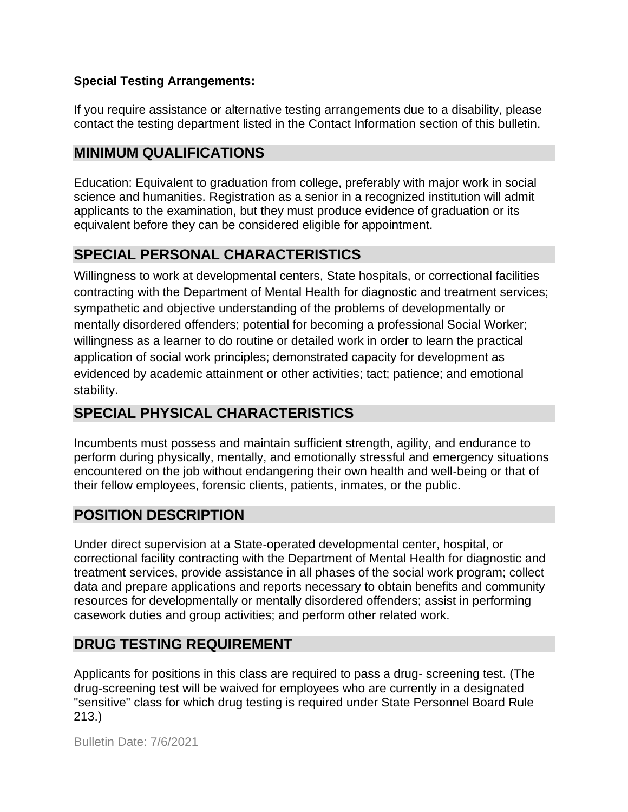#### **Special Testing Arrangements:**

If you require assistance or alternative testing arrangements due to a disability, please contact the testing department listed in the Contact Information section of this bulletin.

### **MINIMUM QUALIFICATIONS**

Education: Equivalent to graduation from college, preferably with major work in social science and humanities. Registration as a senior in a recognized institution will admit applicants to the examination, but they must produce evidence of graduation or its equivalent before they can be considered eligible for appointment.

### **SPECIAL PERSONAL CHARACTERISTICS**

Willingness to work at developmental centers, State hospitals, or correctional facilities contracting with the Department of Mental Health for diagnostic and treatment services; sympathetic and objective understanding of the problems of developmentally or mentally disordered offenders; potential for becoming a professional Social Worker; willingness as a learner to do routine or detailed work in order to learn the practical application of social work principles; demonstrated capacity for development as evidenced by academic attainment or other activities; tact; patience; and emotional stability.

### **SPECIAL PHYSICAL CHARACTERISTICS**

Incumbents must possess and maintain sufficient strength, agility, and endurance to perform during physically, mentally, and emotionally stressful and emergency situations encountered on the job without endangering their own health and well-being or that of their fellow employees, forensic clients, patients, inmates, or the public.

### **POSITION DESCRIPTION**

Under direct supervision at a State-operated developmental center, hospital, or correctional facility contracting with the Department of Mental Health for diagnostic and treatment services, provide assistance in all phases of the social work program; collect data and prepare applications and reports necessary to obtain benefits and community resources for developmentally or mentally disordered offenders; assist in performing casework duties and group activities; and perform other related work.

### **DRUG TESTING REQUIREMENT**

Applicants for positions in this class are required to pass a drug- screening test. (The drug-screening test will be waived for employees who are currently in a designated "sensitive" class for which drug testing is required under State Personnel Board Rule 213.)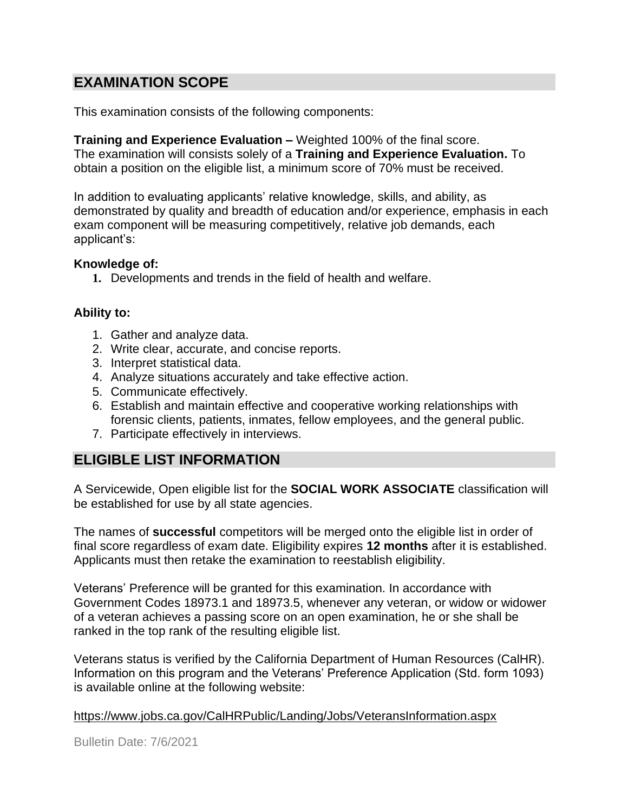### **EXAMINATION SCOPE**

This examination consists of the following components:

**Training and Experience Evaluation –** Weighted 100% of the final score. The examination will consists solely of a **Training and Experience Evaluation.** To obtain a position on the eligible list, a minimum score of 70% must be received.

In addition to evaluating applicants' relative knowledge, skills, and ability, as demonstrated by quality and breadth of education and/or experience, emphasis in each exam component will be measuring competitively, relative job demands, each applicant's:

#### **Knowledge of:**

**1.** Developments and trends in the field of health and welfare.

#### **Ability to:**

- 1. Gather and analyze data.
- 2. Write clear, accurate, and concise reports.
- 3. Interpret statistical data.
- 4. Analyze situations accurately and take effective action.
- 5. Communicate effectively.
- 6. Establish and maintain effective and cooperative working relationships with forensic clients, patients, inmates, fellow employees, and the general public.
- 7. Participate effectively in interviews.

#### **ELIGIBLE LIST INFORMATION**

A Servicewide, Open eligible list for the **SOCIAL WORK ASSOCIATE** classification will be established for use by all state agencies.

The names of **successful** competitors will be merged onto the eligible list in order of final score regardless of exam date. Eligibility expires **12 months** after it is established. Applicants must then retake the examination to reestablish eligibility.

Veterans' Preference will be granted for this examination. In accordance with Government Codes 18973.1 and 18973.5, whenever any veteran, or widow or widower of a veteran achieves a passing score on an open examination, he or she shall be ranked in the top rank of the resulting eligible list.

Veterans status is verified by the California Department of Human Resources (CalHR). Information on this program and the Veterans' Preference Application (Std. form 1093) is available online at the following website:

#### <https://www.jobs.ca.gov/CalHRPublic/Landing/Jobs/VeteransInformation.aspx>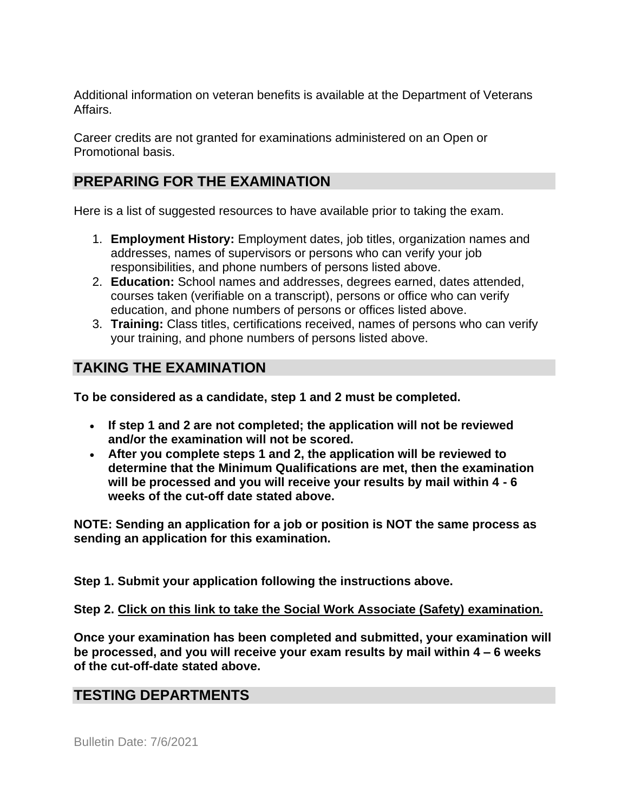Additional information on veteran benefits is available at the Department of Veterans Affairs.

Career credits are not granted for examinations administered on an Open or Promotional basis.

### **PREPARING FOR THE EXAMINATION**

Here is a list of suggested resources to have available prior to taking the exam.

- 1. **Employment History:** Employment dates, job titles, organization names and addresses, names of supervisors or persons who can verify your job responsibilities, and phone numbers of persons listed above.
- 2. **Education:** School names and addresses, degrees earned, dates attended, courses taken (verifiable on a transcript), persons or office who can verify education, and phone numbers of persons or offices listed above.
- 3. **Training:** Class titles, certifications received, names of persons who can verify your training, and phone numbers of persons listed above.

### **TAKING THE EXAMINATION**

**To be considered as a candidate, step 1 and 2 must be completed.**

- **If step 1 and 2 are not completed; the application will not be reviewed and/or the examination will not be scored.**
- **After you complete steps 1 and 2, the application will be reviewed to determine that the Minimum Qualifications are met, then the examination will be processed and you will receive your results by mail within 4 - 6 weeks of the cut-off date stated above.**

**NOTE: Sending an application for a job or position is NOT the same process as sending an application for this examination.**

**Step 1. Submit your application following the instructions above.**

**Step 2. Click on this link to take the [Social Work Associate \(Safety\)](https://www.surveymonkey.com/r/8JJH9LX) examination.**

**Once your examination has been completed and submitted, your examination will be processed, and you will receive your exam results by mail within 4 – 6 weeks of the cut-off-date stated above.**

#### **TESTING DEPARTMENTS**

Bulletin Date: 7/6/2021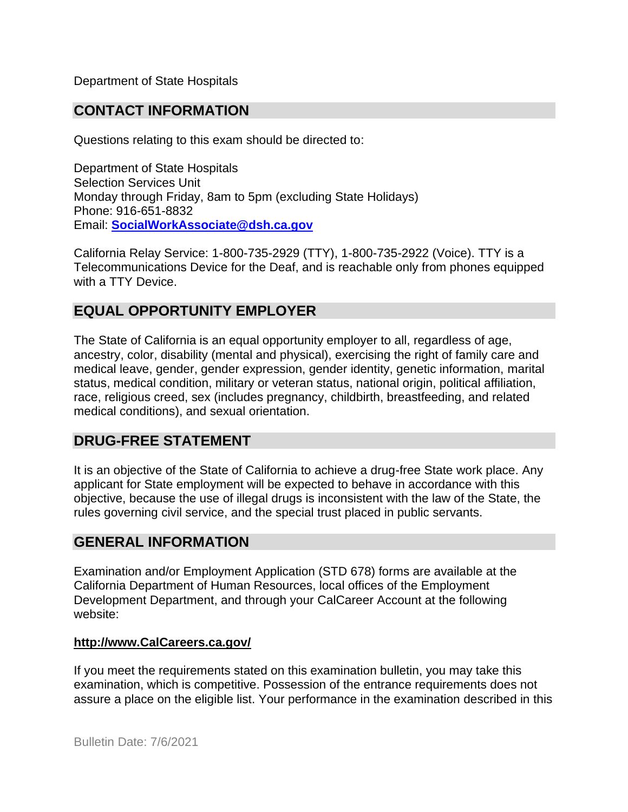Department of State Hospitals

### **CONTACT INFORMATION**

Questions relating to this exam should be directed to:

Department of State Hospitals Selection Services Unit Monday through Friday, 8am to 5pm (excluding State Holidays) Phone: 916-651-8832 Email: **[SocialWorkAssociate@dsh.ca.gov](mailto:SocialWorkAssociate@dsh.ca.gov)** 

California Relay Service: 1-800-735-2929 (TTY), 1-800-735-2922 (Voice). TTY is a Telecommunications Device for the Deaf, and is reachable only from phones equipped with a TTY Device.

#### **EQUAL OPPORTUNITY EMPLOYER**

The State of California is an equal opportunity employer to all, regardless of age, ancestry, color, disability (mental and physical), exercising the right of family care and medical leave, gender, gender expression, gender identity, genetic information, marital status, medical condition, military or veteran status, national origin, political affiliation, race, religious creed, sex (includes pregnancy, childbirth, breastfeeding, and related medical conditions), and sexual orientation.

#### **DRUG-FREE STATEMENT**

It is an objective of the State of California to achieve a drug-free State work place. Any applicant for State employment will be expected to behave in accordance with this objective, because the use of illegal drugs is inconsistent with the law of the State, the rules governing civil service, and the special trust placed in public servants.

#### **GENERAL INFORMATION**

Examination and/or Employment Application (STD 678) forms are available at the California Department of Human Resources, local offices of the Employment Development Department, and through your CalCareer Account at the following website:

#### **[http://www.CalCareers.ca.gov/](http://www.calcareers.ca.gov/)**

If you meet the requirements stated on this examination bulletin, you may take this examination, which is competitive. Possession of the entrance requirements does not assure a place on the eligible list. Your performance in the examination described in this